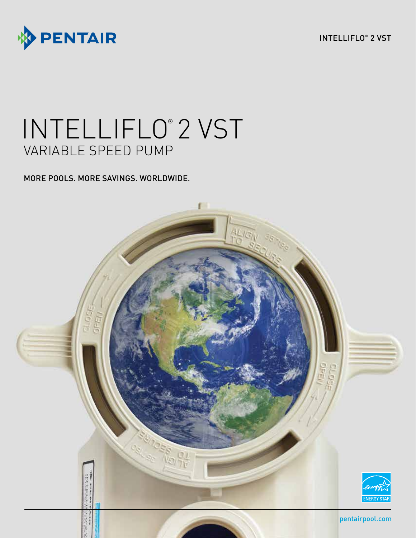



# INTELLIFLO® 2 VST VARIABLE SPEED PUMP

MORE POOLS. MORE SAVINGS. WORLDWIDE.

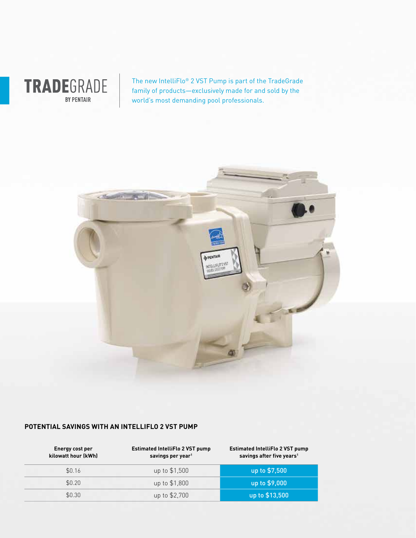

The new IntelliFlo® 2 VST Pump is part of the TradeGrade family of products—exclusively made for and sold by the world's most demanding pool professionals.



### **POTENTIAL SAVINGS WITH AN INTELLIFLO 2 VST PUMP**

| Energy cost per<br>kilowatt hour (kWh) | <b>Estimated IntelliFlo 2 VST pump</b><br>savings per year <sup>1</sup> | <b>Estimated IntelliFlo 2 VST pump</b><br>savings after five years <sup>1</sup> |
|----------------------------------------|-------------------------------------------------------------------------|---------------------------------------------------------------------------------|
| \$0.16                                 | up to \$1,500                                                           | up to \$7,500                                                                   |
| \$0.20                                 | up to \$1,800                                                           | up to \$9,000                                                                   |
| \$0.30                                 | up to \$2,700                                                           | up to \$13,500                                                                  |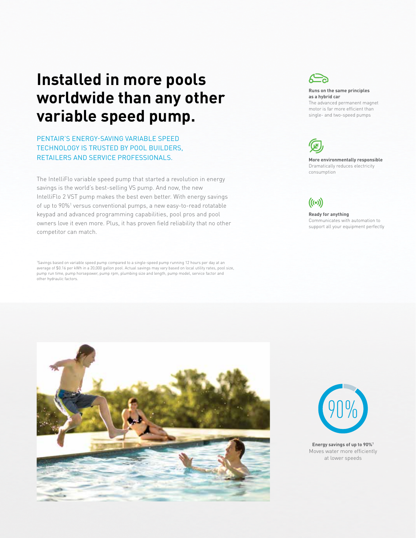## **Installed in more pools worldwide than any other variable speed pump.**

PENTAIR'S ENERGY-SAVING VARIABLE SPEED TECHNOLOGY IS TRUSTED BY POOL BUILDERS, RETAILERS AND SERVICE PROFESSIONALS.

The IntelliFlo variable speed pump that started a revolution in energy savings is the world's best-selling VS pump. And now, the new IntelliFlo 2 VST pump makes the best even better. With energy savings of up to 90%<sup>1</sup> versus conventional pumps, a new easy-to-read rotatable keypad and advanced programming capabilities, pool pros and pool owners love it even more. Plus, it has proven field reliability that no other competitor can match.

1 Savings based on variable speed pump compared to a single-speed pump running 12 hours per day at an average of \$0.16 per kWh in a 20,000 gallon pool. Actual savings may vary based on local utility rates, pool size, pump run time, pump horsepower, pump rpm, plumbing size and length, pump model, service factor and other hydraulic factors.



#### **Runs on the same principles as a hybrid car**

The advanced permanent magnet motor is far more efficient than single- and two-speed pumps



**More environmentally responsible** Dramatically reduces electricity consumption



#### **Ready for anything** Communicates with automation to support all your equipment perfectly





**Energy savings of up to 90%1** Moves water more efficiently at lower speeds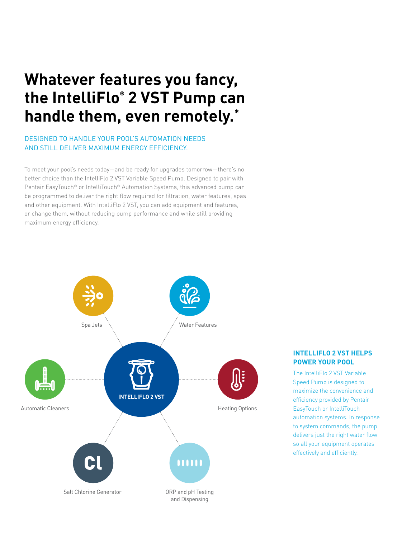## **Whatever features you fancy, the IntelliFlo® 2 VST Pump can handle them, even remotely.\***

### DESIGNED TO HANDLE YOUR POOL'S AUTOMATION NEEDS AND STILL DELIVER MAXIMUM ENERGY EFFICIENCY.

To meet your pool's needs today—and be ready for upgrades tomorrow—there's no better choice than the IntelliFlo 2 VST Variable Speed Pump. Designed to pair with Pentair EasyTouch® or IntelliTouch® Automation Systems, this advanced pump can be programmed to deliver the right flow required for filtration, water features, spas and other equipment. With IntelliFlo 2 VST, you can add equipment and features, or change them, without reducing pump performance and while still providing maximum energy efficiency.



### **INTELLIFLO 2 VST HELPS POWER YOUR POOL**

The IntelliFlo 2 VST Variable Speed Pump is designed to maximize the convenience and efficiency provided by Pentair EasyTouch or IntelliTouch automation systems. In response to system commands, the pump delivers just the right water flow so all your equipment operates effectively and efficiently.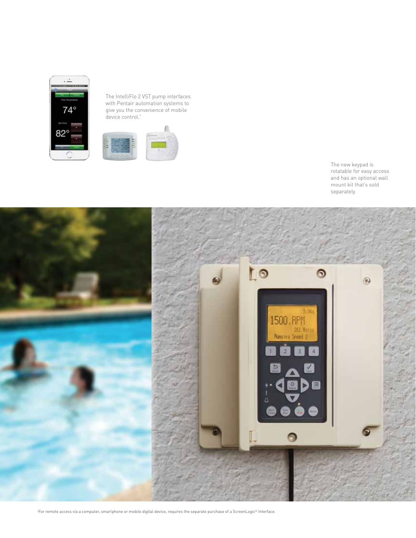

The IntelliFlo 2 VST pump interfaces with Pentair automation systems to give you the convenience of mobile device control.<sup>\*</sup>







+ For remote access via a computer, smartphone or mobile digital device, requires the separate purchase of a ScreenLogic® Interface.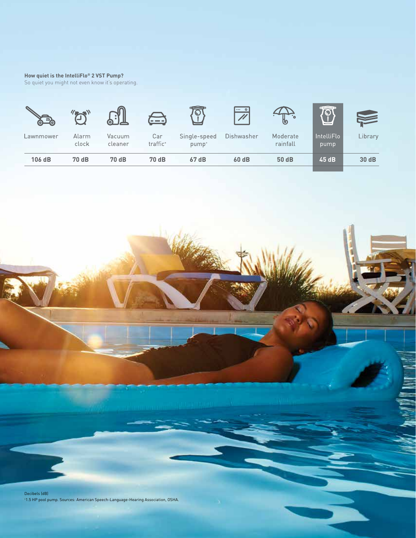#### **How quiet is the IntelliFlo® 2 VST Pump?**

So quiet you might not even know it's operating.



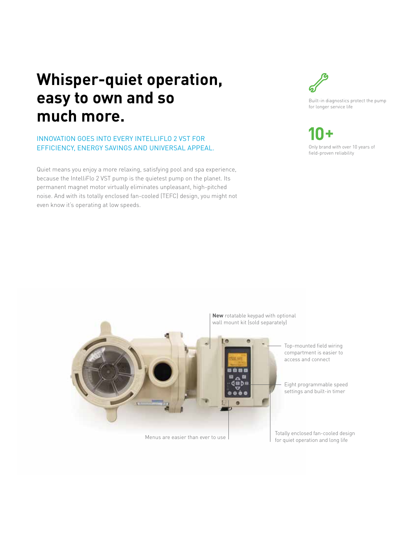## **Whisper-quiet operation, easy to own and so much more.**

### INNOVATION GOES INTO EVERY INTELLIFLO 2 VST FOR EFFICIENCY, ENERGY SAVINGS AND UNIVERSAL APPEAL.

Quiet means you enjoy a more relaxing, satisfying pool and spa experience, because the IntelliFlo 2 VST pump is the quietest pump on the planet. Its permanent magnet motor virtually eliminates unpleasant, high-pitched noise. And with its totally enclosed fan-cooled (TEFC) design, you might not even know it's operating at low speeds.



Built-in diagnostics protect the pump for longer service life

Only brand with over 10 years of field-proven reliability



Menus are easier than ever to use

Totally enclosed fan-cooled design for quiet operation and long life